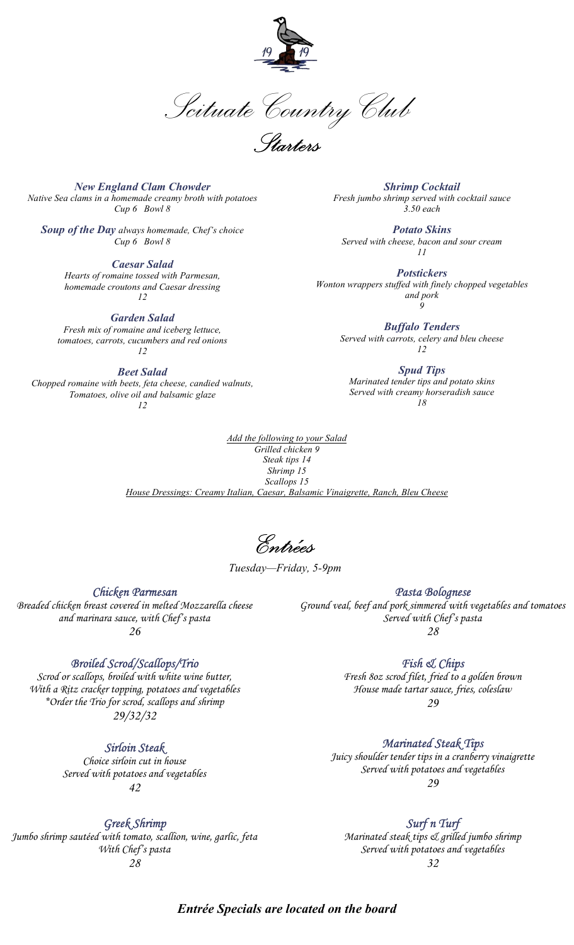

Scituate Country Club

Starters

New England Clam Chowder Native Sea clams in a homemade creamy broth with potatoes Cup 6 Bowl 8

Soup of the Day always homemade, Chef's choice Cup 6 Bowl 8

> Caesar Salad Hearts of romaine tossed with Parmesan, homemade croutons and Caesar dressing 12

Garden Salad Fresh mix of romaine and iceberg lettuce, tomatoes, carrots, cucumbers and red onions 12

Beet Salad Chopped romaine with beets, feta cheese, candied walnuts, Tomatoes, olive oil and balsamic glaze 12

Shrimp Cocktail Fresh jumbo shrimp served with cocktail sauce 3.50 each

Potato Skins Served with cheese, bacon and sour cream 11

**Potstickers** Wonton wrappers stuffed with finely chopped vegetables and pork 9

> Buffalo Tenders Served with carrots, celery and bleu cheese 12

Spud Tips Marinated tender tips and potato skins Served with creamy horseradish sauce 18

Add the following to your Salad Grilled chicken 9 Steak tips 14 Shrimp 15 Scallops 15 House Dressings: Creamy Italian, Caesar, Balsamic Vinaigrette, Ranch, Bleu Cheese

Entrées

Tuesday—Friday, 5-9pm

Chicken Parmesan Breaded chicken breast covered in melted Mozzarella cheese and marinara sauce, with Chef's pasta 26

## Broiled Scrod/Scallops/Trio

Scrod or scallops, broiled with white wine butter, With a Ritz cracker topping, potatoes and vegetables \*Order the Trio for scrod, scallops and shrimp 29/32/32

Sirloin Steak

Choice sirloin cut in house Served with potatoes and vegetables 42

Greek Shrimp

Jumbo shrimp sautéed with tomato, scallion, wine, garlic, feta With Chef's pasta 28

Pasta Bolognese

Ground veal, beef and pork simmered with vegetables and tomatoes Served with Chef's pasta 28

Fish & Chips

Fresh 8oz scrod filet, fried to a golden brown House made tartar sauce, fries, coleslaw 29

## Marinated Steak Tips

Juicy shoulder tender tips in a cranberry vinaigrette Served with potatoes and vegetables 29

Surf n Turf Marinated steak tips & grilled jumbo shrimp Served with potatoes and vegetables 32

Entrée Specials are located on the board